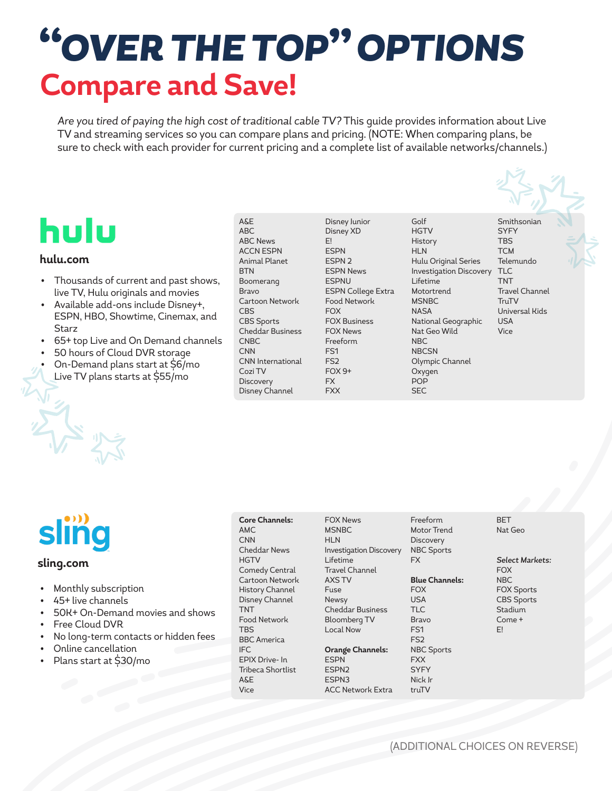# *"OVER THE TOP" OPTIONS* **Compare and Save!**

*Are you tired of paying the high cost of traditional cable TV?* This guide provides information about Live TV and streaming services so you can compare plans and pricing. (NOTE: When comparing plans, be sure to check with each provider for current pricing and a complete list of available networks/channels.)

## hulu

#### **hulu.com**

- Thousands of current and past shows, live TV, Hulu originals and movies
- Available add-ons include Disney+, ESPN, HBO, Showtime, Cinemax, and Starz
- 65+ top Live and On Demand channels
- 50 hours of Cloud DVR storage
- On-Demand plans start at \$6/mo
- Live TV plans starts at \$55/mo

A&E ABC ABC News ACCN ESPN Animal Planet BTN Boomerang Bravo Cartoon Network CBS CBS Sports Cheddar Business CNBC **CNN** CNN International Cozi TV **Discovery** Disney Channel

Disney Junior Disney XD E! **FSPN** ESPN 2 ESPN News **FSPNU** ESPN College Extra Food Network FOX FOX Business FOX News Freeform FS1 FS2 FOX 9+ FX FXX

Golf **HGTV** History **HLN** Hulu Original Series Investigation Discovery Lifetime Motortrend MSNBC **NASA** National Geographic Nat Geo Wild NBC NBCSN Olympic Channel **Oxygen** POP **SEC** 

Smithsonian **SYFY TBS** TCM Telemundo TLC TNT Travel Channel **TruTV** Universal Kids USA Vice



#### **sling.com**

- Monthly subscription
- 45+ live channels
- 50K+ On-Demand movies and shows
- Free Cloud DVR
- No long-term contacts or hidden fees
- Online cancellation
- Plans start at \$30/mo

**Core Channels:** AMC CNN Cheddar News **HGTV** Comedy Central Cartoon Network History Channel Disney Channel TNT Food Network TBS BBC America IFC EPIX Drive- In Tribeca Shortlist A&E Vice

FOX News MSNBC HLN Investigation Discovery Lifetime Travel Channel AXS TV Fuse Newsy Cheddar Business Bloomberg TV Local Now **Orange Channels: ESPN** ESPN2 ESPN3

ACC Network Extra

Freeform Motor Trend **Discovery** NBC Sports FX

**Blue Channels: FOX** USA TLC Bravo FS1 FS2

NBC Sports FXX

**SYFY** Nick Jr truTV

**BET** Nat Geo

*Select Markets:* **FOX** NBC FOX Sports CBS Sports **Stadium** Come + E!